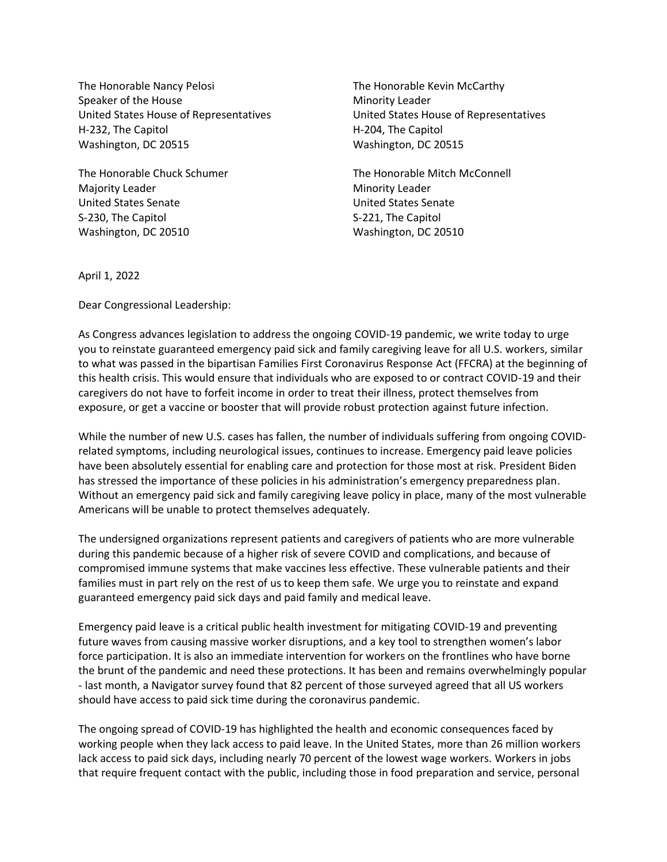The Honorable Nancy Pelosi The Honorable Kevin McCarthy Speaker of the House Minority Leader United States House of Representatives United States House of Representatives H-232, The Capitol **H-204**, The Capitol Washington, DC 20515 Washington, DC 20515

Majority Leader **Minority Leader** Minority Leader United States Senate United States Senate S-230. The Capitol S-230, The Capitol S-221, The Capitol Washington, DC 20510 Washington, DC 20510

The Honorable Chuck Schumer The Honorable Mitch McConnell

April 1, 2022

Dear Congressional Leadership:

As Congress advances legislation to address the ongoing COVID-19 pandemic, we write today to urge you to reinstate guaranteed emergency paid sick and family caregiving leave for all U.S. workers, similar to what was passed in the bipartisan Families First Coronavirus Response Act (FFCRA) at the beginning of this health crisis. This would ensure that individuals who are exposed to or contract COVID-19 and their caregivers do not have to forfeit income in order to treat their illness, protect themselves from exposure, or get a vaccine or booster that will provide robust protection against future infection.

While the number of new U.S. cases has fallen, the number of individuals suffering from ongoing COVIDrelated symptoms, including neurological issues, continues to increase. Emergency paid leave policies have been absolutely essential for enabling care and protection for those most at risk. President Biden has stressed the importance of these policies in his administration's emergency preparedness plan. Without an emergency paid sick and family caregiving leave policy in place, many of the most vulnerable Americans will be unable to protect themselves adequately.

The undersigned organizations represent patients and caregivers of patients who are more vulnerable during this pandemic because of a higher risk of severe COVID and complications, and because of compromised immune systems that make vaccines less effective. These vulnerable patients and their families must in part rely on the rest of us to keep them safe. We urge you to reinstate and expand guaranteed emergency paid sick days and paid family and medical leave.

Emergency paid leave is a critical public health investment for mitigating COVID-19 and preventing future waves from causing massive worker disruptions, and a key tool to strengthen women's labor force participation. It is also an immediate intervention for workers on the frontlines who have borne the brunt of the pandemic and need these protections. It has been and remains overwhelmingly popular - last month, a Navigator survey found that 82 percent of those surveyed agreed that all US workers should have access to paid sick time during the coronavirus pandemic.

The ongoing spread of COVID-19 has highlighted the health and economic consequences faced by working people when they lack access to paid leave. In the United States, more than 26 million workers lack access to paid sick days, including nearly 70 percent of the lowest wage workers. Workers in jobs that require frequent contact with the public, including those in food preparation and service, personal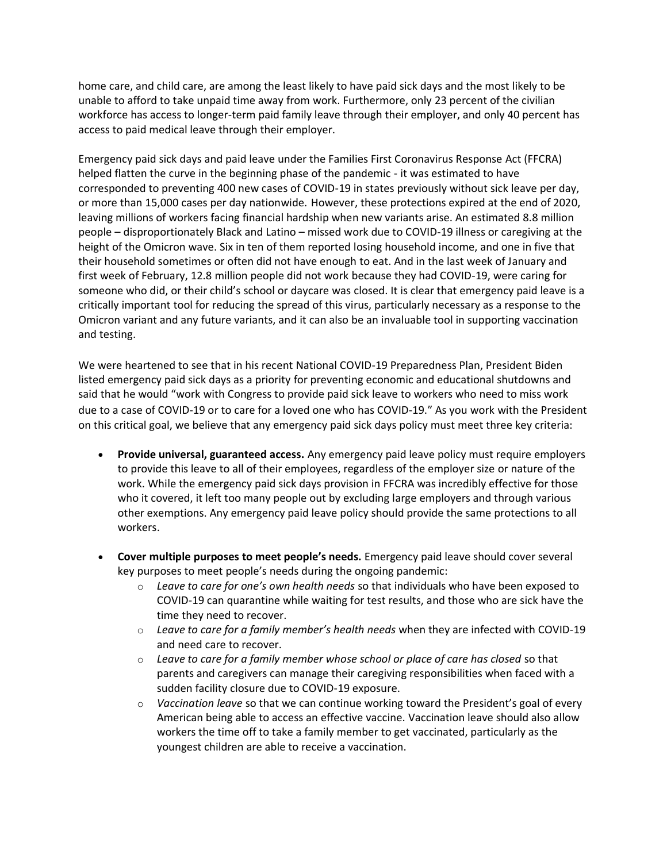home care, and child care, are among the least likely to have paid sick days and the most likely to be unable to afford to take unpaid time away from work. Furthermore, only 23 percent of the civilian workforce has access to longer-term paid family leave through their employer, and only 40 percent has access to paid medical leave through their employer.

Emergency paid sick days and paid leave under the Families First Coronavirus Response Act (FFCRA) helped flatten the curve in the beginning phase of the pandemic - it was estimated to have corresponded to preventing 400 new cases of COVID-19 in states previously without sick leave per day, or more than 15,000 cases per day nationwide. However, these protections expired at the end of 2020, leaving millions of workers facing financial hardship when new variants arise. An estimated 8.8 million people – disproportionately Black and Latino – missed work due to COVID-19 illness or caregiving at the height of the Omicron wave. Six in ten of them reported losing household income, and one in five that their household sometimes or often did not have enough to eat. And in the last week of January and first week of February, 12.8 million people did not work because they had COVID-19, were caring for someone who did, or their child's school or daycare was closed. It is clear that emergency paid leave is a critically important tool for reducing the spread of this virus, particularly necessary as a response to the Omicron variant and any future variants, and it can also be an invaluable tool in supporting vaccination and testing.

We were heartened to see that in his recent National COVID-19 Preparedness Plan, President Biden listed emergency paid sick days as a priority for preventing economic and educational shutdowns and said that he would "work with Congress to provide paid sick leave to workers who need to miss work due to a case of COVID-19 or to care for a loved one who has COVID-19." As you work with the President on this critical goal, we believe that any emergency paid sick days policy must meet three key criteria:

- **Provide universal, guaranteed access.** Any emergency paid leave policy must require employers to provide this leave to all of their employees, regardless of the employer size or nature of the work. While the emergency paid sick days provision in FFCRA was incredibly effective for those who it covered, it left too many people out by excluding large employers and through various other exemptions. Any emergency paid leave policy should provide the same protections to all workers.
- **Cover multiple purposes to meet people's needs.** Emergency paid leave should cover several key purposes to meet people's needs during the ongoing pandemic:
	- o *Leave to care for one's own health needs* so that individuals who have been exposed to COVID-19 can quarantine while waiting for test results, and those who are sick have the time they need to recover.
	- o *Leave to care for a family member's health needs* when they are infected with COVID-19 and need care to recover.
	- o *Leave to care for a family member whose school or place of care has closed* so that parents and caregivers can manage their caregiving responsibilities when faced with a sudden facility closure due to COVID-19 exposure.
	- o *Vaccination leave* so that we can continue working toward the President's goal of every American being able to access an effective vaccine. Vaccination leave should also allow workers the time off to take a family member to get vaccinated, particularly as the youngest children are able to receive a vaccination.